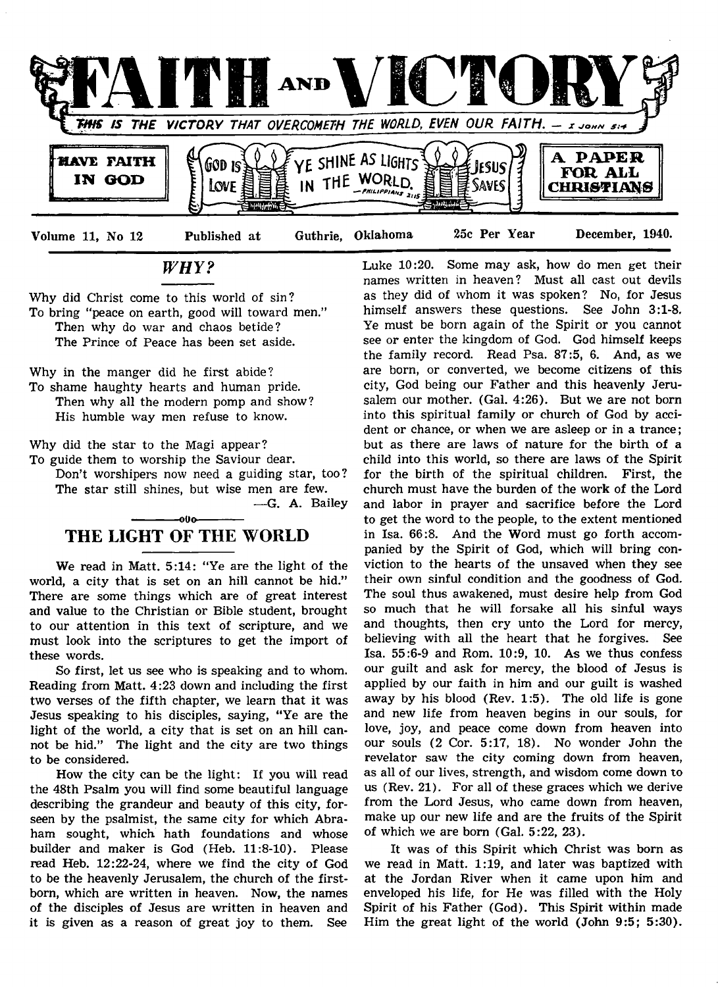

*WHY?*

Why did Christ come to this world of sin? To bring "peace on earth, good will toward men." Then why do war and chaos betide? The Prince of Peace has been set aside.

Why in the manger did he first abide? To shame haughty hearts and human pride. Then why all the modern pomp and show? His humble way men refuse to know.

Why did the star to the Magi appear?

To guide them to worship the Saviour dear.

Don't worshipers now need a guiding star, too? The star still shines, but wise men are few. — G. A. Bailey

# -000-THE LIGHT OF THE WORLD

We read in Matt. 5:14: "Ye are the light of the world, a city that is set on an hill cannot be hid." There are some things which are of great interest and value to the Christian or Bible student, brought to our attention in this text of scripture, and we must look into the scriptures to get the import of these words.

So first, let us see who is speaking and to whom. Reading from Matt. 4:23 down and including the first two verses of the fifth chapter, we learn that it was Jesus speaking to his disciples, saying, "Ye are the light of the world, a city that is set on an hill cannot be hid." The light and the city are two things to be considered.

How the city can be the light: If you will read the 48th Psalm you will find some beautiful language describing the grandeur and beauty of this city, forseen by the psalmist, the same city for which Abraham sought, which hath foundations and whose builder and maker is God (Heb. 11:8-10). Please read Heb. 12:22-24, where we find the city of God to be the heavenly Jerusalem, the church of the firstborn, which are written in heaven. Now, the names of the disciples of Jesus are written in heaven and it is given as a reason of great joy to them. See

Luke 10:20. Some may ask, how do men get their names written in heaven? Must all cast out devils as they did of whom it was spoken? No, for Jesus himself answers these questions. See John 3:1-8. Ye must be born again of the Spirit or you cannot see or enter the kingdom of God. God himself keeps the family record. Read Psa. 87:5, 6. And, as we are born, or converted, we become citizens of this city, God being our Father and this heavenly Jerusalem our mother. (Gal. 4:26). But we are not born into this spiritual family or church of God by accident or chance, or when we are asleep or in a trance; but as there are laws of nature for the birth of a child into this world, so there are laws of the Spirit for the birth of the spiritual children. First, the church must have the burden of the work of the Lord and labor in prayer and sacrifice before the Lord to get the word to the people, to the extent mentioned in Isa. 66:8. And the Word must go forth accompanied by the Spirit of God, which will bring conviction to the hearts of the unsaved when they see their own sinful condition and the goodness of God. The soul thus awakened, must desire help from God so much that he will forsake all his sinful ways and thoughts, then cry unto the Lord for mercy, believing with all the heart that he forgives. See Isa. 55:6-9 and Rom. 10:9, 10. As we thus confess our guilt and ask for mercy, the blood of Jesus is applied by our faith in him and our guilt is washed away by his blood (Rev. 1:5). The old life is gone and new life from heaven begins in our souls, for love, joy, and peace come down from heaven into our souls (2 Cor. 5:17, 18). No wonder John the revelator saw the city coming down from heaven, as all of our lives, strength, and wisdom come down to us (Rev. 21). For all of these graces which we derive from the Lord Jesus, who came down from heaven, make up our new life and are the fruits of the Spirit of which we are born (Gal. 5:22, 23).

It was of this Spirit which Christ was born as we read in Matt. 1:19, and later was baptized with at the Jordan River when it came upon him and enveloped his life, for He was filled with the Holy Spirit of his Father (God). This Spirit within made Him the great light of the world (John 9:5; 5:30).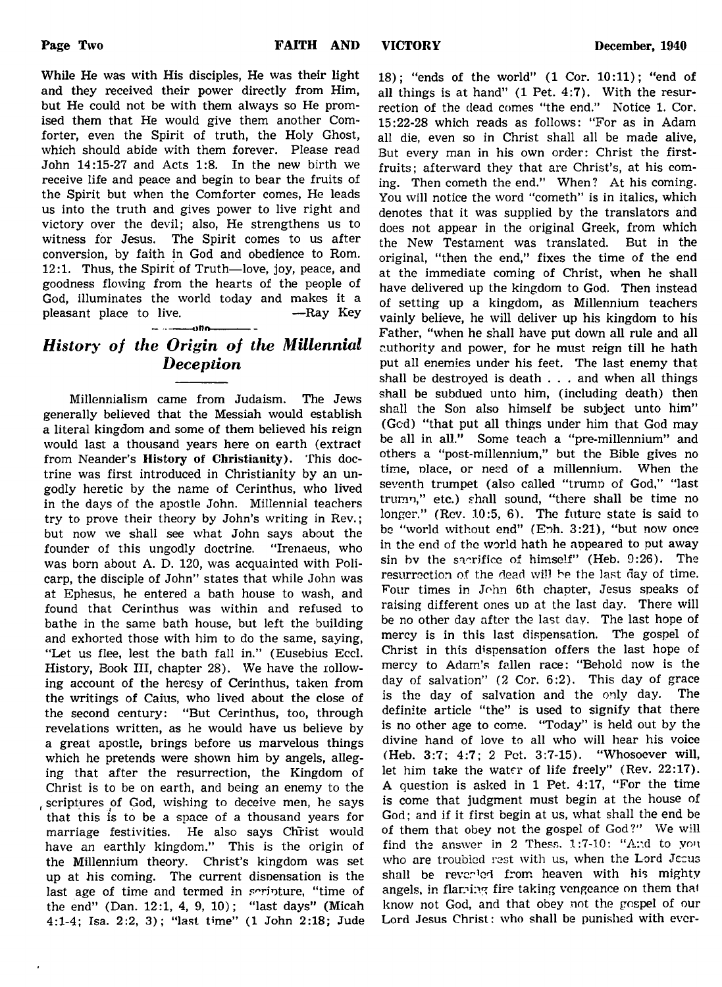While He was with His disciples, He was their light and they received their power directly from Him, but He could not be with them always so He promised them that He would give them another Comforter, even the Spirit of truth, the Holy Ghost, which should abide with them forever. Please read John 14:15-27 and Acts 1:8. In the new birth we receive life and peace and begin to bear the fruits of the Spirit but when the Comforter comes, He leads us into the truth and gives power to live right and victory over the devil; also, He strengthens us to witness for Jesus. The Spirit comes to us after conversion, by faith in God and obedience to Rom. 12:1. Thus, the Spirit of Truth— love, joy, peace, and goodness flowing from the hearts of the people of

# $\rightarrow$ *History of the Origin of the Millennial Deception*

God, illuminates the world today and makes it a pleasant place to live. — Ray Key

Millennialism came from Judaism. The Jews generally believed that the Messiah would establish a literal kingdom and some of them believed his reign would last a thousand years here on earth (extract from Neander's History of Christianity). This doctrine was first introduced in Christianity by an ungodly heretic by the name of Cerinthus, who lived in the days of the apostle John. Millennial teachers try to prove their theory by John's writing in Rev.; but now we shall see what John says about the founder of this ungodly doctrine. "Irenaeus, who was born about A. D. 120, was acquainted with Policarp, the disciple of John" states that while John was at Ephesus, he entered a bath house to wash, and found that Cerinthus was within and refused to bathe in the same bath house, but left the building and exhorted those with him to do the same, saying, "Let us flee, lest the bath fall in." (Eusebius Eccl. History, Book III, chapter 28). We have the rollowing account of the heresy of Cerinthus, taken from the writings of Caius, who lived about the close of the second century: "But Cerinthus, too, through revelations written, as he would have us believe by a great apostle, brings before us marvelous things which he pretends were shown him by angels, alleging that after the resurrection, the Kingdom of Christ is to be on earth, and being an enemy to the scriptures of God, wishing to deceive men, he says that this is to be a space of a thousand years for marriage festivities. He also says Christ would have an earthly kingdom." This is the origin of the Millennium theory. Christ's kingdom was set up at his coming. The current disnensation is the last age of time and termed in seripture, "time of the end" (Dan. 12:1, 4, 9, 10); "last days" (Micah 4:1-4; Isa. 2:2, 3); "last time" (1 John 2:18; Jude

18); "ends of the world" (1 Cor. 10:11); "end of all things is at hand" (1 Pet. 4:7). With the resurrection of the dead comes "the end." Notice 1. Cor. 15:22-28 which reads as follows: "For as in Adam all die, even so in Christ shall all be made alive, But every man in his own order: Christ the firstfruits; afterward they that are Christ's, at his coming. Then cometh the end." When? At his coming. You will notice the word "cometh" is in italics, which denotes that it was supplied by the translators and does not appear in the original Greek, from which the New Testament was translated. But in the original, "then the end," fixes the time of the end at the immediate coming of Christ, when he shall have delivered up the kingdom to God. Then instead of setting up a kingdom, as Millennium teachers vainly believe, he will deliver up his kingdom to his Father, "when he shall have put down all rule and all authority and power, for he must reign till he hath put all enemies under his feet. The last enemy that shall be destroyed is death  $\ldots$  and when all things shall be subdued unto him, (including death) then shall the Son also himself be subject unto him" (Gcd) "that put all things under him that God may be all in all." Some teach a "pre-millennium" and others a "post-millennium," but the Bible gives no time, nlace, or need of a millennium. When the seventh trumpet (also called "trump of God," "last trumn," etc.) shall sound, "there shall be time no longer." (Rev.  $10:5, 6$ ). The future state is said to be "world without end" (Eph. 3:21), "but now once in the end of the world hath he appeared to put away sin bv the sacrifice of himself" (Heb. 9:26). The resurrection of the dead will be the last day of time. Four times in John 6th chapter, Jesus speaks of raising different ones up at the last day. There will be no other day after the last day. The last hope of mercy is in this last dispensation. The gospel of Christ in this dispensation offers the last hope of mercy to Adam's fallen race: "Behold now is the day of salvation" (2 Cor. 6:2). This day of grace is the day of salvation and the only day. The definite article "the" is used to signify that there is no other age to come. "Today" is held out by the divine hand of love to all who will hear his voice (Heb. 3:7; 4:7; 2 Pet. 3:7-15). "Whosoever will, let him take the water of life freely" (Rev. 22:17). A question is asked in 1 Pet. 4:17, "For the time is come that judgment must begin at the house of God; and if it first begin at us, what shall the end be of them that obey not the gospel of God?" We will find the answer in 2 Thess.  $1:7-10:$  "And to you who are troubled rest with us, when the Lord Jecus shall be reverled from heaven with his mighty angels, in flaming fire taking vengeance on them that know not God, and that obey not the gospel of our Lord Jesus Christ: who shall be punished with ever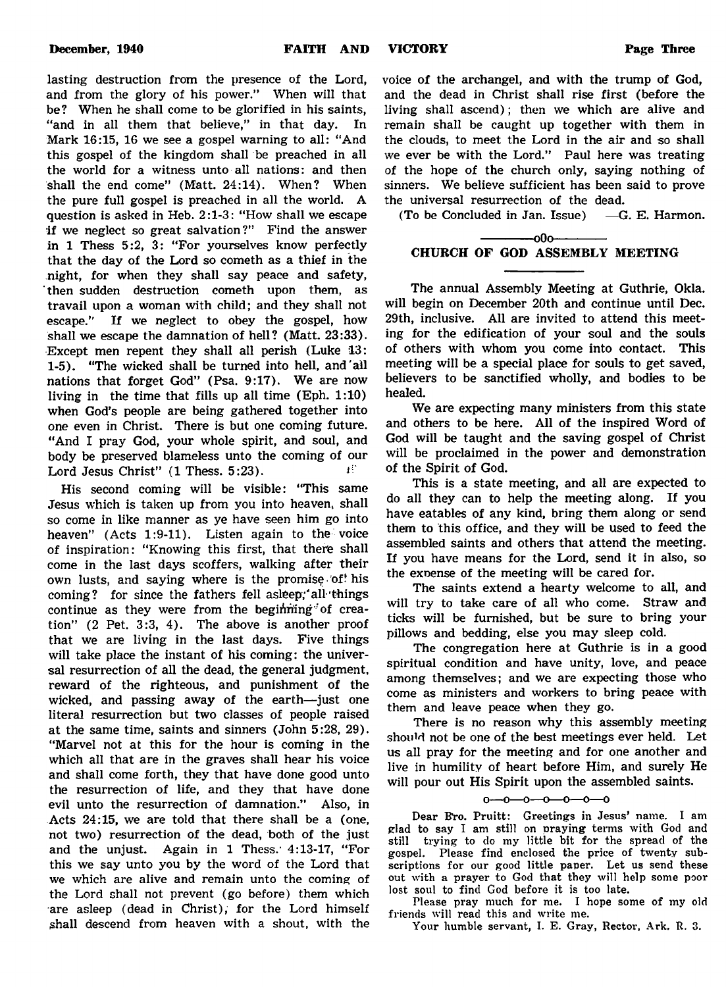voice of the archangel, and with the trump of God, and the dead in Christ shall rise first (before the living shall ascend); then we which are alive and remain shall be caught up together with them in the clouds, to meet the Lord in the air and so shall we ever be with the Lord." Paul here was treating of the hope of the church only, saying nothing of sinners. We believe sufficient has been said to prove the universal resurrection of the dead.

(To be Concluded in Jan. Issue) —G. E. Harmon.

# $-000-$ CHURCH OF GOD ASSEMBLY MEETING

The annual Assembly Meeting at Guthrie, Okla. will begin on December 20th and continue until Dec. 29th, inclusive. All are invited to attend this meeting for the edification of your soul and the souls of others with whom you come into contact. This meeting will be a special place for souls to get saved, believers to be sanctified wholly, and bodies to be healed.

We are expecting many ministers from this state and others to be here. All of the inspired Word of God will be taught and the saving gospel of Christ will be proclaimed in the power and demonstration of the Spirit of God.

This is a state meeting, and all are expected to do all they can to help the meeting along. If you have eatables of any kind, bring them along or send them to this office, and they will be used to feed the assembled saints and others that attend the meeting. If you have means for the Lord, send it in also, so the exoense of the meeting will be cared for.

The saints extend a hearty welcome to all, and will try to take care of all who come. Straw and ticks will be furnished, but be sure to bring your pillows and bedding, else you may sleep cold.

The congregation here at Guthrie is in a good spiritual condition and have unity, love, and peace among themselves; and we are expecting those who come as ministers and workers to bring peace with them and leave peace when they go.

There is no reason why this assembly meeting should not be one of the best meetings ever held. Let us all pray for the meeting and for one another and live in humility of heart before Him, and surely He will pour out His Spirit upon the assembled saints.

### $0 - 0 - 0 - 0 - 0 - 0$

Dear Fro. Pruitt: Greetings in Jesus' name. I am glad to say I am still on praying terms with God and still trying to do my little bit for the spread of the gospel. Please find enclosed the price of twenty subscriptions for our good little paper. Let us send these out with a prayer to God that they will help some poor lost soul to find God before it is too late.

Please pray much for me. I hope some of my old friends will read this and write me.

Your humble servant, I. E. Gray, Rector, Ark. R. 3.

lasting destruction from the presence of the Lord, and from the glory of his power." When will that be? When he shall come to be glorified in his saints, "and in all them that believe," in that day. In Mark 16:15, 16 we see a gospel warning to all: "And this gospel of the kingdom shall be preached in all the world for a witness unto all nations: and then shall the end come" (Matt. 24:14). When? When the pure full gospel is preached in all the world. A question is asked in Heb. 2:1-3: "How shall we escape if we neglect so great salvation?" Find the answer in 1 Thess 5:2, 3: "For yourselves know perfectly that the day of the Lord so cometh as a thief in the night, for when they shall say peace and safety, then sudden destruction cometh upon them, as travail upon a woman with child; and they shall not escape." If we neglect to obey the gospel, how shall we escape the damnation of hell? (Matt. 23:33). Except men repent they shall all perish (Luke 13: 1-5). "The wicked shall be turned into hell, and'all nations that forget God" (Psa. 9:17). We are now living in the time that fills up all time (Eph. 1:10) when God's people are being gathered together into one even in Christ. There is but one coming future. "And I pray God, your whole spirit, and soul, and body be preserved blameless unto the coming of our Lord Jesus Christ" (1 Thess.  $5:23$ ).

His second coming will be visible: "This same Jesus which is taken up from you into heaven, shall so come in like manner as ye have seen him go into heaven" (Acts 1:9-11). Listen again to the voice of inspiration: "Knowing this first, that there shall come in the last days scoffers, walking after their own lusts, and saying where is the promise of his coming? for since the fathers fell asleep; all things continue as they were from the beginning of creation" (2 Pet. 3:3, 4). The above is another proof that we are living in the last days. Five things will take place the instant of his coming: the universal resurrection of all the dead, the general judgment, reward of the righteous, and punishment of the wicked, and passing away of the earth— just one literal resurrection but two classes of people raised at the same time, saints and sinners (John 5:28, 29). "Marvel not at this for the hour is coming in the which all that are in the graves shall hear his voice and shall come forth, they that have done good unto the resurrection of life, and they that have done evil unto the resurrection of damnation." Also, in Acts 24:15, we are told that there shall be a (one, not two) resurrection of the dead, both of the just and the unjust. Again in 1 Thess.' 4:13-17, "For this we say unto you by the word of the Lord that we which are alive and remain unto the coming of the Lord shall not prevent (go before) them which are asleep (dead in Christ), for the Lord himself shall descend from heaven with a shout, with the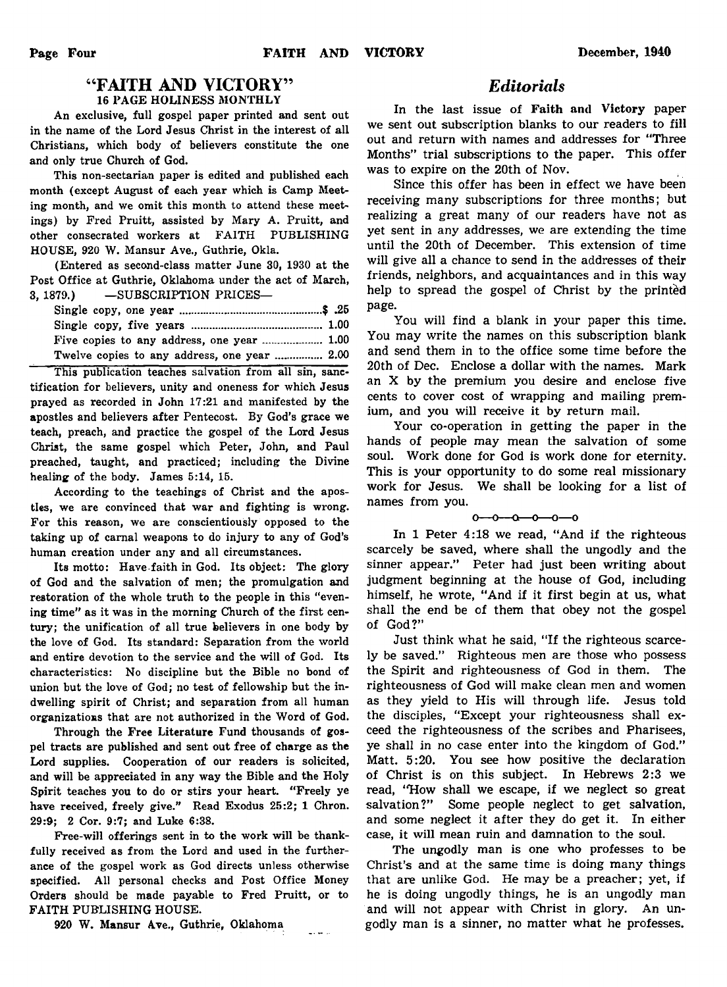# " FAITH AND VICTORY" 16 PAGE HOLINESS MONTHLY

An exclusive, full gospel paper printed and sent out in the name of the Lord Jesus Christ in the interest of all Christians, which body of believers constitute the one and only true Church of God.

This non-sectarian paper is edited and published each month (except August of each year which is Camp Meeting month, and we omit this month to attend these meetings) by Fred Pruitt, assisted by Mary A. Pruitt, and other consecrated workers at FAITH PUBLISHING HOUSE, 920 W. Mansur Ave., Guthrie, Okla.

(Entered as second-class matter June 30, 1930 at the Post Office at Guthrie, Oklahoma under the act of March, 3, 1879.) — SUBSCRIPTION PRICES—

| Twelve copies to any address, one year  2.00 |  |
|----------------------------------------------|--|

This publication teaches salvation from all sin, sanctification for believers, unity and oneness for which Jesus prayed as recorded in John 17:21 and manifested by the apostles and believers after Pentecost. By God's grace we teach, preach, and practice the gospel of the Lord Jesus Christ, the same gospel which Peter, John, and Paul preached, taught, and practiced; including the Divine healing of the body. James 5:14, 15.

According to the teachings of Christ and the apostles, we are convinced that war and fighting is wrong. For this reason, we are conscientiously opposed to the taking up of carnal weapons to do injury to any of God's human creation under any and all circumstances.

Its motto: Have faith in God. Its object: The glory of God and the salvation of men; the promulgation and restoration of the whole truth to the people in this "evening time" as it was in the morning Church of the first century; the unification of all true believers in one body by the love of God. Its standard: Separation from the world and entire devotion to the service and the will of God. Its characteristics: No discipline but the Bible no bond of union but the love of God; no test of fellowship but the indwelling spirit of Christ; and separation from all human organizations that are not authorized in the Word of God.

Through the Free Literature Fund thousands of gospel tracts are published and sent out free of charge as the Lord supplies. Cooperation of our readers is solicited, and will be appreciated in any way the Bible and the Holy Spirit teaches you to do or stirs your heart. "Freely ye have received, freely give." Read Exodus 25:2; 1 Chron. 29:9; 2 Cor. 9:7; and Luke 6:38.

Free-will offerings sent in to the work will be thankfully received as from the Lord and used in the furtherance of the gospel work as God directs unless otherwise specified. All personal checks and Post Office Money Orders should be made payable to Fred Pruitt, or to FAITH PUBLISHING HOUSE.

در جا دی

920 W. Mansur Ave., Guthrie, Oklahoma

# *Editorials*

In the last issue of Faith and Victory paper we sent out subscription blanks to our readers to fill out and return with names and addresses for "Three Months" trial subscriptions to the paper. This offer was to expire on the 20th of Nov.

Since this offer has been in effect we have been receiving many subscriptions for three months; but realizing a great many of our readers have not as yet sent in any addresses, we are extending the time until the 20th of December. This extension of time will give all a chance to send in the addresses of their friends, neighbors, and acquaintances and in this way help to spread the gospel of Christ by the printed page.

You will find a blank in your paper this time. You may write the names on this subscription blank and send them in to the office some time before the 20th of Dec. Enclose a dollar with the names. Mark an X by the premium you desire and enclose five cents to cover cost of wrapping and mailing premium, and you will receive it by return mail.

Your co-operation in getting the paper in the hands of people may mean the salvation of some soul. Work done for God is work done for eternity. This is your opportunity to do some real missionary work for Jesus. We shall be looking for a list of names from you.

## $0 - 0 - 0 - 0 - 0 - 0$

In 1 Peter 4:18 we read, "And if the righteous scarcely be saved, where shall the ungodly and the sinner appear." Peter had just been writing about judgment beginning at the house of God, including himself, he wrote, "And if it first begin at us, what shall the end be of them that obey not the gospel of God?"

Just think what he said, "If the righteous scarcely be saved." Righteous men are those who possess the Spirit and righteousness of God in them. The righteousness of God will make clean men and women as they yield to His will through life. Jesus told the disciples, "Except your righteousness shall exceed the righteousness of the scribes and Pharisees, ye shall in no case enter into the kingdom of God." Matt. 5:20. You see how positive the declaration of Christ is on this subject. In Hebrews 2:3 we read, "How shall we escape, if we neglect so great salvation?" Some people neglect to get salvation, and some neglect it after they do get it. In either case, it will mean ruin and damnation to the soul.

The ungodly man is one who professes to be Christ's and at the same time is doing many things that are unlike God. He may be a preacher; yet, if he is doing ungodly things, he is an ungodly man and will not appear with Christ in glory. An ungodly man is a sinner, no matter what he professes.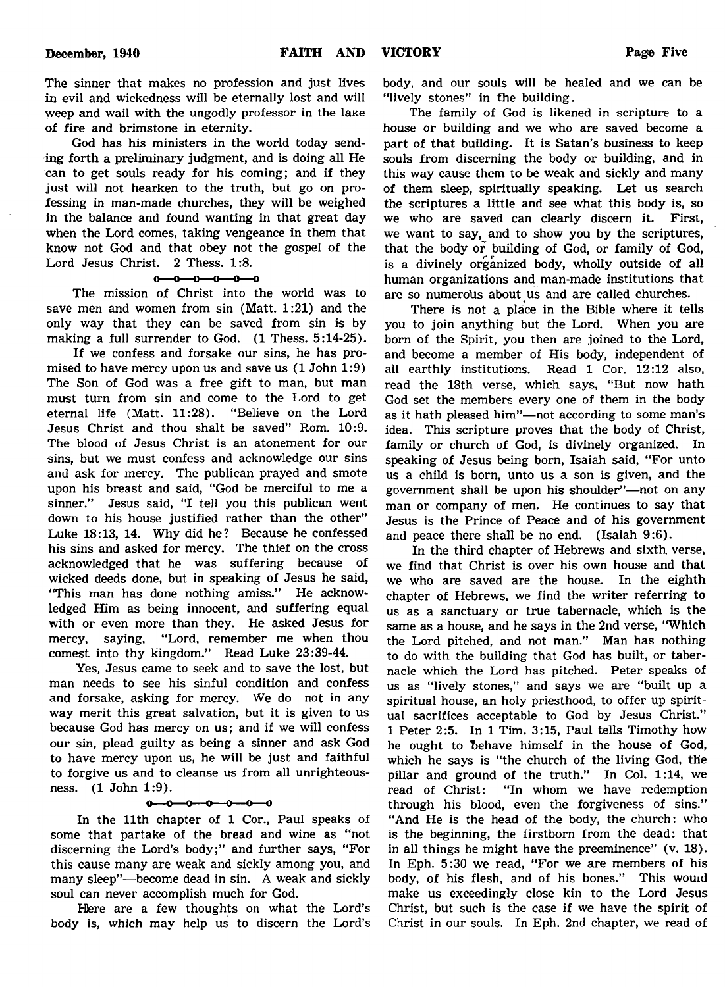The sinner that makes no profession and just lives in evil and wickedness will be eternally lost and will weep and wail with the ungodly professor in the lake of fire and brimstone in eternity.

God has his ministers in the world today sending forth a preliminary judgment, and is doing all He can to get souls ready for his coming; and if they just will not hearken to the truth, but go on professing in man-made churches, they will be weighed in the balance and found wanting in that great day when the Lord comes, taking vengeance in them that know not God and that obey not the gospel of the Lord Jesus Christ. 2 Thess. 1:8.

# $0 - 0 - 0 - 0 - 0$

The mission of Christ into the world was to save men and women from sin (Matt. 1:21) and the only way that they can be saved from sin is by making a full surrender to God. (1 Thess. 5:14-25).

If we confess and forsake our sins, he has promised to have mercy upon us and save us (1 John 1:9) The Son of God was a free gift to man, but man must turn from sin and come to the Lord to get eternal life (Matt. 11:28). "Believe on the Lord Jesus Christ and thou shalt be saved" Rom. 10:9. The blood of Jesus Christ is an atonement for our sins, but we must confess and acknowledge our sins and ask for mercy. The publican prayed and smote upon his breast and said, "God be merciful to me a sinner." Jesus said, "I tell you this publican went down to his house justified rather than the other" Luke 18:13, 14. Why did he? Because he confessed his sins and asked for mercy. The thief on the cross acknowledged that he was suffering because of wicked deeds done, but in speaking of Jesus he said, "This man has done nothing amiss." He acknowledged Him as being innocent, and suffering equal with or even more than they. He asked Jesus for mercy, saying, "Lord, remember me when thou comest into thy kingdom." Read Luke 23:39-44.

Yes, Jesus came to seek and to save the lost, but man needs to see his sinful condition and confess and forsake, asking for mercy. We do not in any way merit this great salvation, but it is given to us because God has mercy on us; and if we will confess our sin, plead guilty as being a sinner and ask God to have mercy upon us, he will be just and faithful to forgive us and to cleanse us from all unrighteousness. (1 John 1:9).

# $0 - 0 - 0 - 0$

In the 11th chapter of 1 Cor., Paul speaks of some that partake of the bread and wine as "not discerning the Lord's body;" and further says, "For this cause many are weak and sickly among you, and many sleep"— become dead in sin. A weak and sickly soul can never accomplish much for God.

Here are a few thoughts on what the Lord's body is, which may help us to discern the Lord's

body, and our souls will be healed and we can be "lively stones" in the building.

The family of God is likened in scripture to a house or building and we who are saved become a part of that building. It is Satan's business to keep souls from discerning the body or building, and in this way cause them to be weak and sickly and many of them sleep, spiritually speaking. Let us search the scriptures a little and see what this body is, so we who are saved can clearly discern it. First, we want to say, and to show you by the scriptures, that the body or building of God, or family of God, is a divinely organized body, wholly outside of all human organizations and man-made institutions that are so numerous about us and are called churches.

There is not a place in the Bible where it tells you to join anything but the Lord. When you are born of the Spirit, you then are joined to the Lord, and become a member of His body, independent of all earthly institutions. Read 1 Cor. 12:12 also, read the 18th verse, which says, "But now hath God set the members every one of them in the body as it hath pleased him"— not according to some man's idea. This scripture proves that the body of Christ, family or church of God, is divinely organized. In speaking of Jesus being born, Isaiah said, "For unto us a child is born, unto us a son is given, and the government shall be upon his shoulder"— not on any man or company of men. He continues to say that Jesus is the Prince of Peace and of his government and peace there shall be no end. (Isaiah 9:6).

In the third chapter of Hebrews and sixth, verse, we find that Christ is over his own house and that we who are saved are the house. In the eighth chapter of Hebrews, we find the writer referring to us as a sanctuary or true tabernacle, which is the same as a house, and he says in the 2nd verse, "Which the Lord pitched, and not man." Man has nothing to do with the building that God has built, or tabernacle which the Lord has pitched. Peter speaks of us as "lively stones," and says we are "built up a spiritual house, an holy priesthood, to offer up spiritual sacrifices acceptable to God by Jesus Christ." 1 Peter 2:5. In 1 Tim. 3:15, Paul tells Timothy how he ought to behave himself in the house of God, which he says is "the church of the living God, the pillar and ground of the truth." In Col. 1:14, we read of Christ: "In whom we have redemption through his blood, even the forgiveness of sins." "And He is the head of the body, the church: who is the beginning, the firstborn from the dead: that in all things he might have the preeminence" (v. 18). In Eph. 5:30 we read, "For we are members of his body, of his flesh, and of his bones." This wouid make us exceedingly close kin to the Lord Jesus Christ, but such is the case if we have the spirit of Christ in our souls. In Eph. 2nd chapter, we read of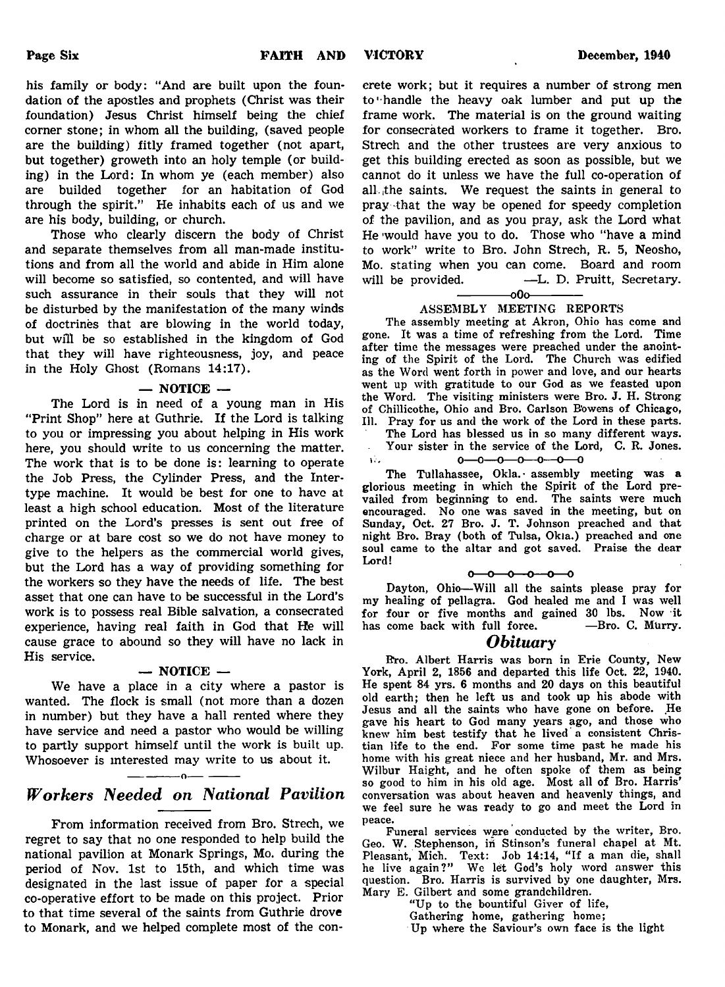his family or body: "And are built upon the foundation of the apostles and prophets (Christ was their foundation) Jesus Christ himself being the chief corner stone; in whom all the building, (saved people are the building) fitly framed together (not apart, but together) groweth into an holy temple (or building) in the Lord: In whom ye (each member) also are builded together for an habitation of God through the spirit." He inhabits each of us and we are his body, building, or church.

Those who clearly discern the body of Christ and separate themselves from all man-made institutions and from all the world and abide in Him alone will become so satisfied, so contented, and will have such assurance in their souls that they will not be disturbed by the manifestation of the many winds of doctrines that are blowing in the world today, but will be so established in the kingdom of God that they will have righteousness, joy, and peace in the Holy Ghost (Romans 14:17).

### $-$  NOTICE  $-$

The Lord is in need of a young man in His "Print Shop" here at Guthrie. If the Lord is talking to you or impressing you about helping in His work here, you should write to us concerning the matter. The work that is to be done is: learning to operate the Job Press, the Cylinder Press, and the Intertype machine. It would be best for one to have at least a high school education. Most of the literature printed on the Lord's presses is sent out free of charge or at bare cost so we do not have money to give to the helpers as the commercial world gives, but the Lord has a way of providing something for the workers so they have the needs of life. The best asset that one can have to be successful in the Lord's work is to possess real Bible salvation, a consecrated experience, having real faith in God that He will cause grace to abound so they will have no lack in His service.

### $-$  NOTICE  $-$

We have a place in a city where a pastor is wanted. The flock is small (not more than a dozen in number) but they have a hall rented where they have service and need a pastor who would be willing to partly support himself until the work is built up. Whosoever is interested may write to us about it.

# -------------------o------------------- *Workers Needed on National Pavilion*

From information received from Bro. Strech, we regret to say that no one responded to help build the national pavilion at Monark Springs, Mo. during the period of Nov. 1st to 15th, and which time was designated in the last issue of paper for a special co-operative effort to be made on this project. Prior to that time several of the saints from Guthrie drove to Monark, and we helped complete most of the con-

crete work; but it requires a number of strong men to'handle the heavy oak lumber and put up the frame work. The material is on the ground waiting for consecrated workers to frame it together. Bro. Strech and the other trustees are very anxious to get this building erected as soon as possible, but we cannot do it unless we have the full co-operation of all ithe saints. We request the saints in general to pray -that the way be opened for speedy completion of the pavilion, and as you pray, ask the Lord what He 'would have you to do. Those who "have a mind to work" write to Bro. John Strech, R. 5, Neosho, Mo. stating when you can come. Board and room will be provided. - - L. D. Pruitt, Secretary.

 $-000-$ 

# ASSEMBLY MEETING REPORTS

The assembly meeting at Akron, Ohio has come and gone. It was a time of refreshing from the Lord. Time after time the messages were preached under the anointing of the Spirit of the Lord. The Church was edified as the Word went forth in power and love, and our hearts went up with gratitude to our God as we feasted upon the Word. The visiting ministers were Bro. J. H. Strong of Chillicothe, Ohio and Bro. Carlson B'owens of Chicago, 111. Pray for us and the work of the Lord in these parts.

The Lord has blessed us in so many different ways. Your sister in the service of the Lord, C. R. Jones.

The Tullahassee, Okla. assembly meeting was a glorious meeting in which the Spirit of the Lord prevailed from beginning to end. The saints were much encouraged. No one was saved in the meeting, but on Sunday, Oct. 27 Bro. J. T. Johnson preached and that night Bro. Bray (both of Tulsa, Okla.) preached and one soul came to the altar and got saved. Praise the dear Lord!

## $0 - 0 - 0 - 0 - 0$

Dayton, Ohio— Will all the saints please pray for my healing of pellagra. God healed me and I was well for four or five months and gained 30 lbs. Now it has come back with full force.  $\qquad \qquad$ —Bro. C. Murry

# *Obituary*

Bro. Albert Harris was born in Erie County, New York, April 2, 1856 and departed this life Oct. 22, 1940. He spent 84 yrs. 6 months and 20 days on this beautiful old earth; then he left us and took up his abode with Jesus and all the saints who have gone on before. He gave his heart to God many years ago, and those who knew him best testify that he lived a consistent Christian life to the end. For some time past he made his home with his great niece and her husband, Mr. and Mrs. Wilbur Haight, and he often spoke of them as being so good to him in his old age. Most all of Bro. Harris' conversation was about heaven and heavenly things, and we feel sure he was ready to go and meet the Lord in peace.

Funeral services were conducted by the writer, Bro. Geo. W. Stephenson, in Stinson's funeral chapel at Mt. Pleasant, Mich. Text: Job 14:14, " If a man die, shall he live again?" We let God's holy word answer this question. Bro. Harris is survived by one daughter, Mrs. Mary E. Gilbert and some grandchildren.

"Up to the bountiful Giver of life, Gathering home, gathering home; Up where the Saviour's own face is the light

 $0 - 0 - 0 - 0 - 0 - 0$  $\chi^2_{\rm{max}}$ —ი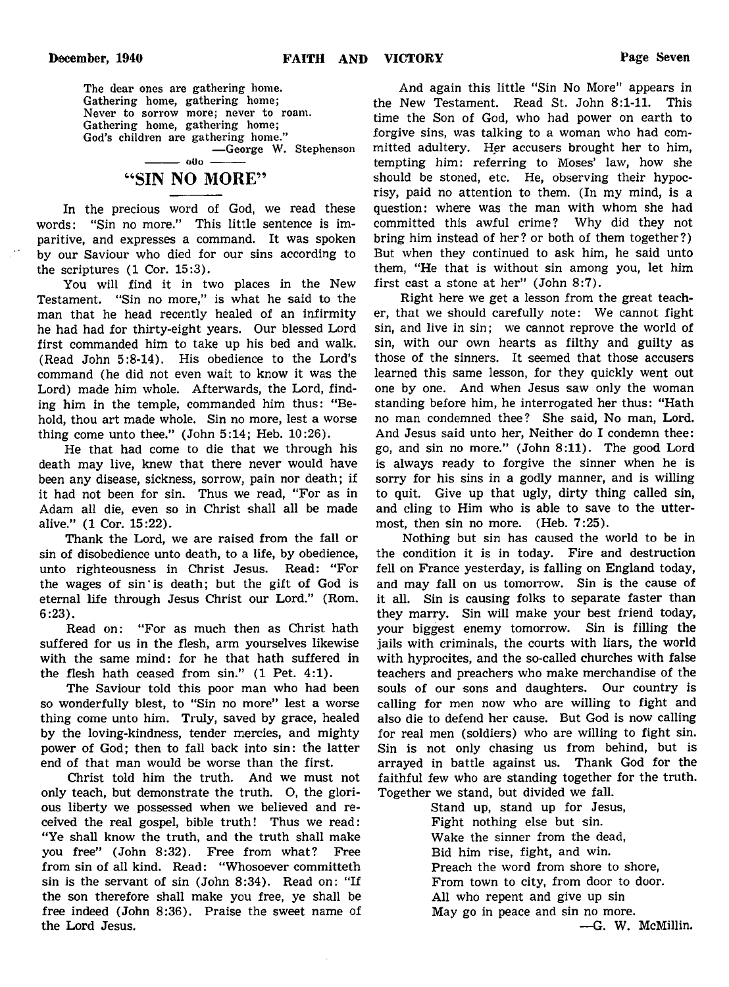The dear ones are gathering home. Gathering home, gathering home; Never to sorrow more; never to roam. Gathering home, gathering home; God's children are gathering home." — George W. Stephenson

# $000 -$ "SIN NO MORE"

In the precious word of God, we read these words: "Sin no more." This little sentence is imparitive, and expresses a command. It was spoken by our Saviour who died for our sins according to the scriptures (1 Cor. 15:3).

You will find it in two places in the New Testament. "Sin no more," is what he said to the man that he head recently healed of an infirmity he had had for thirty-eight years. Our blessed Lord first commanded him to take up his bed and walk. (Read John 5:8-14). His obedience to the Lord's command (he did not even wait to know it was the Lord) made him whole. Afterwards, the Lord, finding him in the temple, commanded him thus: "Behold, thou art made whole. Sin no more, lest a worse thing come unto thee." (John 5:14; Heb. 10:26).

He that had come to die that we through his death may live, knew that there never would have been any disease, sickness, sorrow, pain nor death; if it had not been for sin. Thus we read, "For as in Adam all die, even so in Christ shall all be made alive." (1 Cor. 15:22).

Thank the Lord, we are raised from the fall or sin of disobedience unto death, to a life, by obedience, unto righteousness in Christ Jesus. Read: "For the wages of sin' is death; but the gift of God is eternal life through Jesus Christ our Lord." (Rom. 6:23).

Read on: "For as much then as Christ hath suffered for us in the flesh, arm yourselves likewise with the same mind: for he that hath suffered in the flesh hath ceased from sin." (1 Pet. 4:1).

The Saviour told this poor man who had been so wonderfully blest, to "Sin no more" lest a worse thing come unto him. Truly, saved by grace, healed by the loving-kindness, tender mercies, and mighty power of God; then to fall back into sin: the latter end of that man would be worse than the first.

Christ told him the truth. And we must not only teach, but demonstrate the truth. O, the glorious liberty we possessed when we believed and received the real gospel, bible truth! Thus we read: "Ye shall know the truth, and the truth shall make you free" (John 8:32). Free from what? Free from sin of all kind. Read: "Whosoever committeth sin is the servant of sin (John 8:34). Read on: "If the son therefore shall make you free, ye shall be free indeed (John 8:36). Praise the sweet name of the Lord Jesus.

And again this little "Sin No More" appears in the New Testament. Read St. John 8:1-11. This time the Son of God, who had power on earth to forgive sins, was talking to a woman who had committed adultery. Her accusers brought her to him, tempting him: referring to Moses' law, how she should be stoned, etc. He, observing their hypocrisy, paid no attention to them. (In my mind, is a question: where was the man with whom she had committed this awful crime? Why did they not bring him instead of her? or both of them together?) But when they continued to ask him, he said unto them, "He that is without sin among you, let him first cast a stone at her" (John 8:7).

Right here we get a lesson from the great teacher, that we should carefully note: We cannot fight sin, and live in sin; we cannot reprove the world of sin, with our own hearts as filthy and guilty as those of the sinners. It seemed that those accusers learned this same lesson, for they quickly went out one by one. And when Jesus saw only the woman standing before him, he interrogated her thus: "Hath no man condemned thee? She said, No man, Lord. And Jesus said unto her, Neither do I condemn thee: go, and sin no more." (John 8:11). The good Lord is always ready to forgive the sinner when he is sorry for his sins in a godly manner, and is willing to quit. Give up that ugly, dirty thing called sin, and cling to Him who is able to save to the uttermost, then sin no more. (Heb. 7:25).

Nothing but sin has caused the world to be in the condition it is in today. Fire and destruction fell on France yesterday, is falling on England today, and may fall on us tomorrow. Sin is the cause of it all. Sin is causing folks to separate faster than they marry. Sin will make your best friend today, your biggest enemy tomorrow. Sin is filling the jails with criminals, the courts with liars, the world with hyprocites, and the so-called churches with false teachers and preachers who make merchandise of the souls of our sons and daughters. Our country is calling for men now who are willing to fight and also die to defend her cause. But God is now calling for real men (soldiers) who are willing to fight sin. Sin is not only chasing us from behind, but is arrayed in battle against us. Thank God for the faithful few who are standing together for the truth. Together we stand, but divided we fall.

Stand up, stand up for Jesus, Fight nothing else but sin. Wake the sinner from the dead, Bid him rise, fight, and win. Preach the word from shore to shore, From town to city, from door to door. All who repent and give up sin May go in peace and sin no more.

—G. W. McMillin.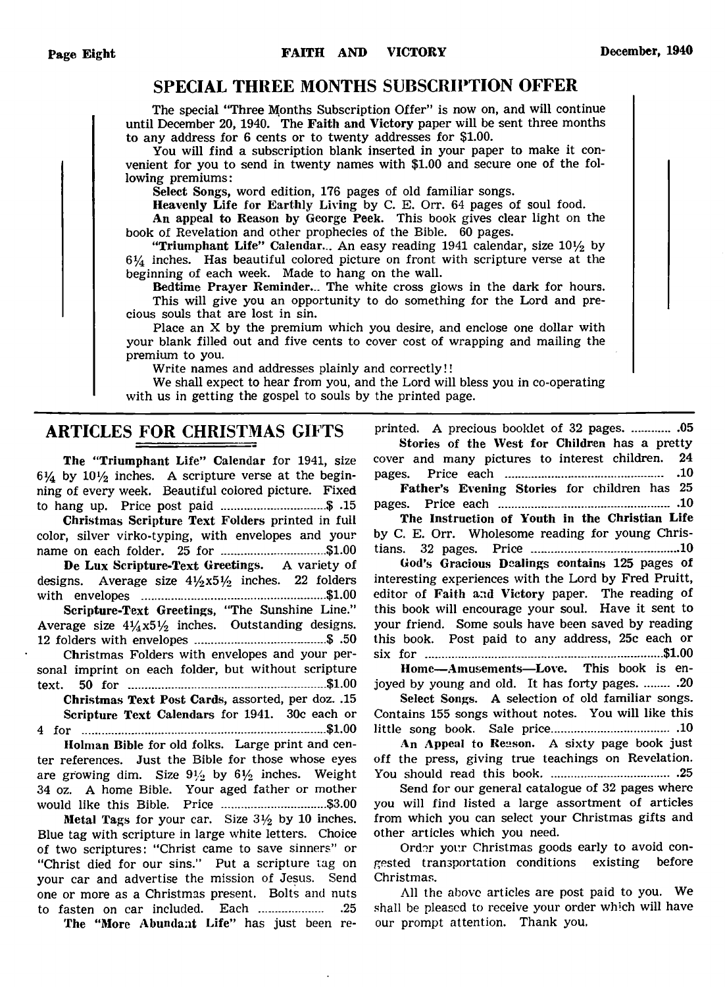# SPECIAL THREE MONTHS SUBSCRIPTION OFFER

The special "Three Months Subscription Offer" is now on, and will continue until December 20, 1940. The Faith and Victory paper will be sent three months to any address for 6 cents or to twenty addresses for \$1.00.

You will find a subscription blank inserted in your paper to make it convenient for you to send in twenty names with \$1.00 and secure one of the following premiums:

Select Songs, word edition, 176 pages of old familiar songs.

Heavenly Life for Earthly Living by C. E. Orr. 64 pages of soul food.

An appeal to Reason by George Peek. This book gives clear light on the book of Revelation and other prophecies of the Bible. 60 pages.

"Triumphant Life" Calendar... An easy reading 1941 calendar, size 10*y2* by  $6\frac{1}{4}$  inches. Has beautiful colored picture on front with scripture verse at the beginning of each week. Made to hang on the wall.

Bedtime Prayer Reminder... The white cross glows in the dark for hours. This will give you an opportunity to do something for the Lord and precious souls that are lost in sin.

Place an X by the premium which you desire, and enclose one dollar with your blank filled out and five cents to cover cost of wrapping and mailing the premium to you.

Write names and addresses plainly and correctly!!

We shall expect to hear from you, and the Lord will bless you in co-operating with us in getting the gospel to souls by the printed page.

# ARTICLES FOR CHRISTMAS GIFTS

The "Triumphant Life" Calendar for 1941, size  $6\frac{1}{4}$  by  $10\frac{1}{2}$  inches. A scripture verse at the beginning of every week. Beautiful colored picture. Fixed to hang up. Price post paid ...............................\$ .15

Christmas Scripture Text Folders printed in full color, silver virko-typing, with envelopes and your name on each folder. 25 for ...............................\$1.00

De Lux Scripture-Text Greetings. A variety of designs. Average size *41/2x51/>* inches. 22 folders with envelopes ......................................................\$1.00

Scripture-Text Greetings, "The Sunshine Line." Average size  $4\frac{1}{4}x5\frac{1}{2}$  inches. Outstanding designs. 12 folders with envelopes ...................................... \$ .50

Christmas Folders with envelopes and your personal imprint on each folder, but without scripture text. 50 for ........................................................... \$1.00 Christmas Text Post Cards, assorted, per doz. .15

Scripture Text Calendars for 1941. 30c each or 4 for .........................................................................\$1.00

Holman Bible for old folks. Large print and center references. Just the Bible for those whose eyes are growing dim. Size  $9\frac{1}{2}$  by  $6\frac{1}{2}$  inches. Weight 34 oz. A home Bible. Your aged father or mother would like this Bible. Price ..................................\$3.00

**Metal Tags for your car.** Size  $3\frac{1}{2}$  by 10 inches. Blue tag with scripture in large white letters. Choice of two scriptures: "Christ came to save sinners" or "Christ died for our sins." Put a scripture tag on your car and advertise the mission of Jesus. Send one or more as a Christmas present. Bolts and nuts to fasten on car included. Each ..............................25

The "More Abundant Life" has just been re-

printed. A precious booklet of 32 pages.................05 Stories of the West for Children has a pretty cover and many pictures to interest children. 24

pages. Price each ..................................................... 10 Father's Evening Stories for children has 25

pages. Price each ...................................................... 10

The Instruction of Youth in the Christian Life by C. E. Orr. Wholesome reading for young Christians. 32 pages. Price ........................................... 10

God's Gracious Dealings contains 125 pages of interesting experiences with the Lord by Fred Pruitt, editor of Faith and Victory paper. The reading of this book will encourage your soul. Have it sent to your friend. Some souls have been saved by reading this book. Post paid to any address, 25c each or six for .......................................................................\$1.00

Home— Amusements—Love. This book is enjoyed by young and old. It has forty pages. ......... .20

Select Songs. A selection of old familiar songs. Contains 155 songs without notes. You will like this little song book. Sale price.......................................... 10

An Appeal to Reason. A sixty page book just off the press, giving true teachings on Revelation. You should read this book........................................25

Send for our general catalogue of 32 pages where you will find listed a large assortment of articles from which you can select your Christmas gifts and other articles which you need.

Order your Christmas goods early to avoid congested transportation conditions existing before Christmas.

All the above articles are post paid to you. We shall be pleased to receive your order which will have our prompt attention. Thank you.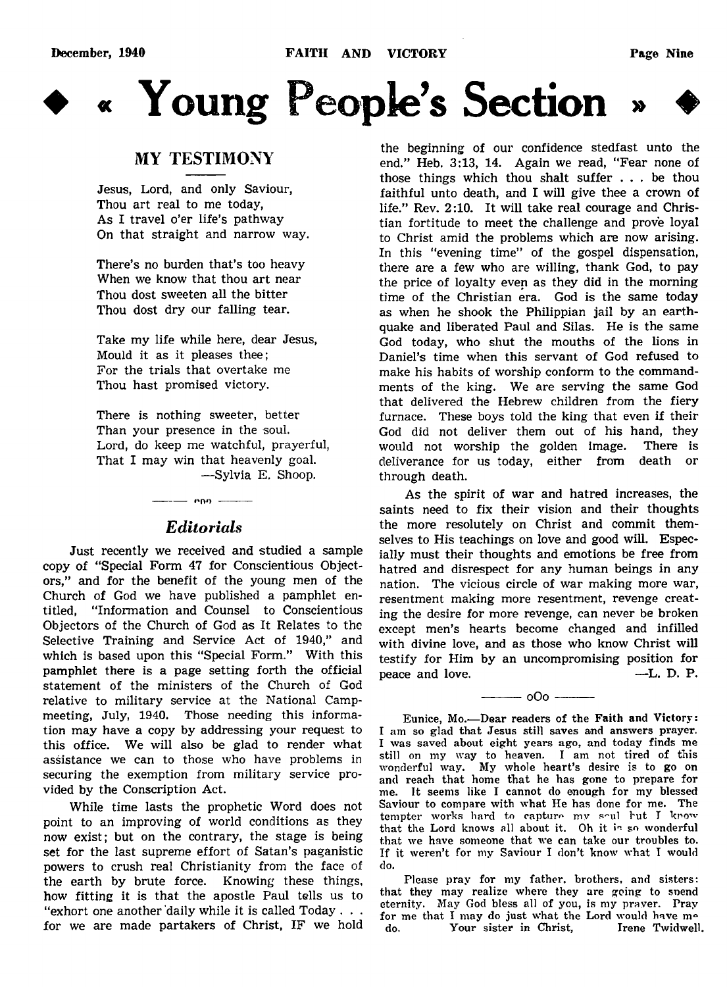**December, 1940 FAITH AND VICTORY Page Nine**



« Young People's Section



# MY TESTIMONY

Jesus, Lord, and only Saviour, Thou art real to me today, As I travel o'er life's pathway On that straight and narrow way.

There's no burden that's too heavy When we know that thou art near Thou dost sweeten all the bitter Thou dost dry our falling tear.

Take my life while here, dear Jesus, Mould it as it pleases thee; For the trials that overtake me Thou hast promised victory.

There is nothing sweeter, better Than your presence in the soul. Lord, do keep me watchful, prayerful, That I may win that heavenly goal. — Sylvia E. Shoop.

# *Editorials*

--------1\*00 ---------

Just recently we received and studied a sample copy of "Special Form 47 for Conscientious Objectors," and for the benefit of the young men of the Church of God we have published a pamphlet entitled, "Information and Counsel to Conscientious Objectors of the Church of God as It Relates to the Selective Training and Service Act of 1940," and which is based upon this "Special Form." With this pamphlet there is a page setting forth the official statement of the ministers of the Church of God relative to military service at the National Campmeeting, July, 1940. Those needing this information may have a copy by addressing your request to this office. We will also be glad to render what assistance we can to those who have problems in securing the exemption from military service provided by the Conscription Act.

While time lasts the prophetic Word does not point to an improving of world conditions as they now exist; but on the contrary, the stage is being set for the last supreme effort of Satan's paganistic powers to crush real Christianity from the face of the earth by brute force. Knowing these things, how fitting it is that the apostle Paul tells us to "exhort one another daily while it is called  $Today \ldots$ for we are made partakers of Christ, IF we hold

the beginning of our confidence stedfast unto the end." Heb. 3:13, 14. Again we read, "Fear none of those things which thou shalt suffer . . . be thou faithful unto death, and I will give thee a crown of life." Rev. 2:10. It will take real courage and Christian fortitude to meet the challenge and prove loyal to Christ amid the problems which are now arising. In this "evening time" of the gospel dispensation, there are a few who are willing, thank God, to pay the price of loyalty even as they did in the morning time of the Christian era. God is the same today as when he shook the Philippian jail by an earthquake and liberated Paul and Silas. He is the same God today, who shut the mouths of the lions in Daniel's time when this servant of God refused to make his habits of worship conform to the commandments of the king. We are serving the same God that delivered the Hebrew children from the fiery furnace. These boys told the king that even if their God did not deliver them out of his hand, they would not worship the golden image. There is deliverance for us today, either from death or through death.

As the spirit of war and hatred increases, the saints need to fix their vision and their thoughts the more resolutely on Christ and commit themselves to His teachings on love and good will. Especially must their thoughts and emotions be free from hatred and disrespect for any human beings in any nation. The vicious circle of war making more war, resentment making more resentment, revenge creating the desire for more revenge, can never be broken except men's hearts become changed and infilled with divine love, and as those who know Christ will testify for Him by an uncompromising position for peace and love. —L. D. P.

----------oO o -----------

Eunice, Mo.— Dear readers of the Faith and Victory: I am so glad that Jesus still saves and answers prayer. I was saved about eight years ago, and today finds me still on my way to heaven. I am not tired of this wonderful way. My whole heart's desire is to go on and reach that home that he has gone to prepare for me. It seems like I cannot do enough for my blessed Saviour to compare with what He has done for me. The tempter works hard to capture my seul fut I know that the Lord knows all about it. Oh it is so wonderful that we have someone that we can take our troubles to. If it weren't for my Saviour I don't know what I would do.

Please pray for my father, brothers, and sisters: that they may realize where they are going to snend eternity. May God bless all of you, is my prayer. Pray for me that I may do just what the Lord would have m° do. Your sister in Christ, Irene Twidwel!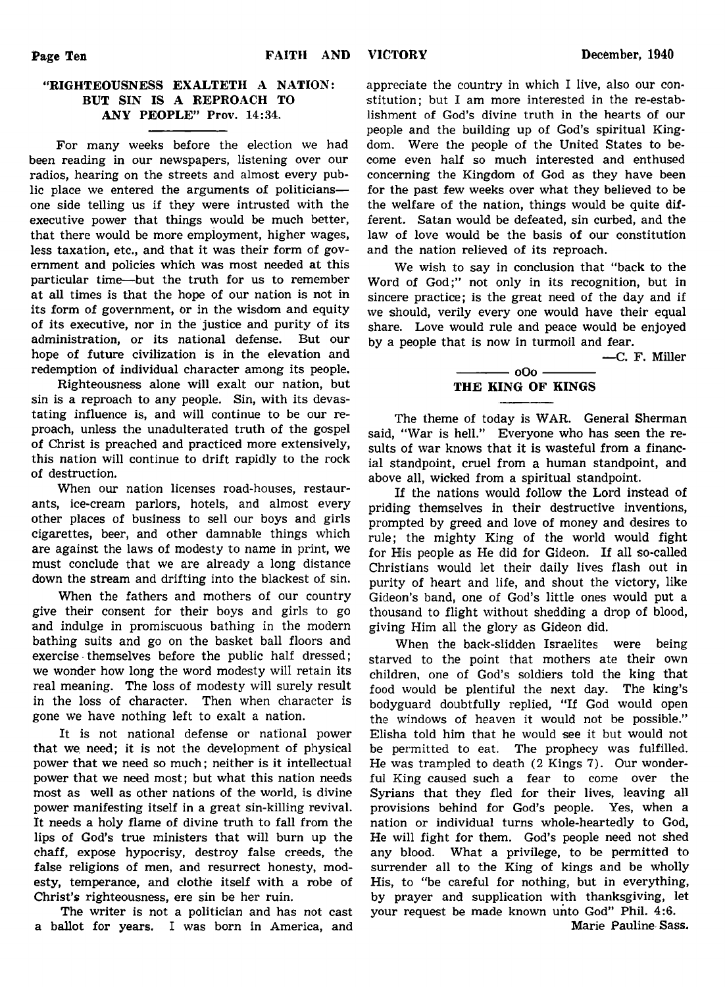# "RIGHTEOUSNESS EXALTETH A NATION: BUT SIN IS A REPROACH TO ANY PEOPLE" Prov. 14:34.

For many weeks before the election we had been reading in our newspapers, listening over our radios, hearing on the streets and almost every public place we entered the arguments of politicians one side telling us if they were intrusted with the executive power that things would be much better, that there would be more employment, higher wages, less taxation, etc., and that it was their form of government and policies which was most needed at this particular time— but the truth for us to remember at all times is that the hope of our nation is not in its form of government, or in the wisdom and equity of its executive, nor in the justice and purity of its administration, or its national defense. But our hope of future civilization is in the elevation and redemption of individual character among its people.

Righteousness alone will exalt our nation, but sin is a reproach to any people. Sin, with its devastating influence is, and will continue to be our reproach, unless the unadulterated truth of the gospel of Christ is preached and practiced more extensively, this nation will continue to drift rapidly to the rock of destruction.

When our nation licenses road-houses, restaurants, ice-cream parlors, hotels, and almost every other places of business to sell our boys and girls cigarettes, beer, and other damnable things which are against the laws of modesty to name in print, we must conclude that we are already a long distance down the stream and drifting into the blackest of sin.

When the fathers and mothers of our country give their consent for their boys and girls to go and indulge in promiscuous bathing in the modern bathing suits and go on the basket ball floors and exercise themselves before the public half dressed; we wonder how long the word modesty will retain its real meaning. The loss of modesty will surely result in the loss of character. Then when character is gone we have nothing left to exalt a nation.

It is not national defense or national power that we. need; it is not the development of physical power that we need so much; neither is it intellectual power that we need most; but what this nation needs most as well as other nations of the world, is divine power manifesting itself in a great sin-killing revival. It needs a holy flame of divine truth to fall from the lips of God's true ministers that will burn up the chaff, expose hypocrisy, destroy false creeds, the false religions of men, and resurrect honesty, modesty, temperance, and clothe itself with a robe of Christ's righteousness, ere sin be her ruin.

The writer is not a politician and has not cast a ballot for years. I was born in America, and appreciate the country in which I live, also our constitution; but I am more interested in the re-establishment of God's divine truth in the hearts of our people and the building up of God's spiritual Kingdom. Were the people of the United States to become even half so much interested and enthused concerning the Kingdom of God as they have been for the past few weeks over what they believed to be the welfare of the nation, things would be quite different. Satan would be defeated, sin curbed, and the law of love would be the basis of our constitution and the nation relieved of its reproach.

We wish to say in conclusion that "back to the Word of God;" not only in its recognition, but in sincere practice; is the great need of the day and if we should, verily every one would have their equal share. Love would rule and peace would be enjoyed by a people that is now in turmoil and fear.

— C. F. Miller

## $-$  000  $-$ THE KING OF KINGS

The theme of today is WAR. General Sherman said, "War is hell." Everyone who has seen the results of war knows that it is wasteful from a financial standpoint, cruel from a human standpoint, and above all, wicked from a spiritual standpoint.

If the nations would follow the Lord instead of priding themselves in their destructive inventions, prompted by greed and love of money and desires to rule; the mighty King of the world would fight for His people as He did for Gideon. If all so-called Christians would let their daily lives flash out in purity of heart and life, and shout the victory, like Gideon's band, one of God's little ones would put a thousand to flight without shedding a drop of blood, giving Him all the glory as Gideon did.

When the back-slidden Israelites were being starved to the point that mothers ate their own children, one of God's soldiers told the king that food would be plentiful the next day. The king's bodyguard doubtfully replied, "If God would open the windows of heaven it would not be possible." Elisha told him that he would see it but would not be permitted to eat. The prophecy was fulfilled. He was trampled to death (2 Kings 7). Our wonderful King caused such a fear to come over the Syrians that they fled for their lives, leaving all provisions behind for God's people. Yes, when a nation or individual turns whole-heartedly to God, He will fight for them. God's people need not shed any blood. What a privilege, to be permitted to surrender all to the King of kings and be wholly His, to "be careful for nothing, but in everything, by prayer and supplication with thanksgiving, let your request be made known unto God" Phil. 4:6.

Marie Pauline Sass.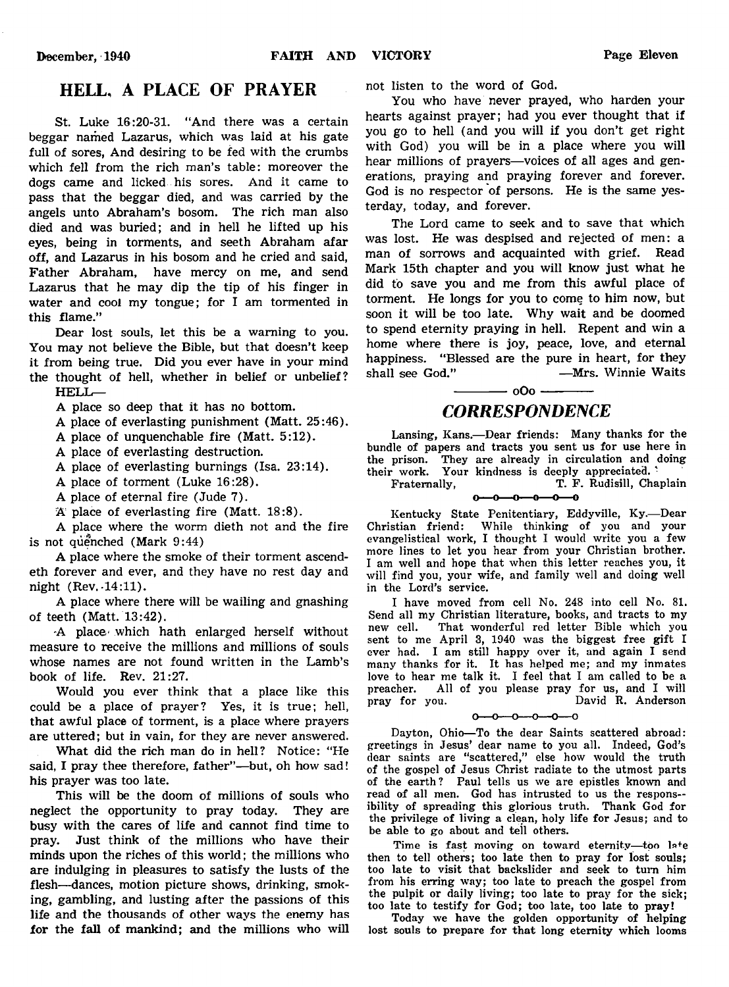# HELL, A PLACE OF PRAYER

St. Luke 16:20-31. "And there was a certain beggar named Lazarus, which was laid at his gate full of sores, And desiring to be fed with the crumbs which fell from the rich man's table: moreover the dogs came and licked his sores. And it came to pass that the beggar died, and was carried by the angels unto Abraham's bosom. The rich man also died and was buried; and in hell he lifted up his eyes, being in torments, and seeth Abraham afar off, and Lazarus in his bosom and he cried and said, Father Abraham, have mercy on me, and send Lazarus that he may dip the tip of his finger in water and cool my tongue; for I am tormented in this flame."

Dear lost souls, let this be a warning to you. You may not believe the Bible, but that doesn't keep it from being true. Did you ever have in your mind the thought of hell, whether in belief or unbelief? HELL—

A place so deep that it has no bottom.

A place of everlasting punishment (Matt. 25:46).

A place of unquenchable fire (Matt. 5:12).

A place of everlasting destruction.

A place of everlasting burnings (Isa. 23:14).

A place of torment (Luke 16:28).

A place of eternal fire (Jude 7).

A place of everlasting fire (Matt. 18:8).

A place where the worm dieth not and the fire is not quenched (Mark  $9:44$ )

A place where the smoke of their torment ascendeth forever and ever, and they have no rest day and night (Rev. -14:11).

A place where there will be wailing and gnashing of teeth (Matt. 13:42).

'A place- which hath enlarged herself without measure to receive the millions and millions of souls whose names are not found written in the Lamb's book of life. Rev. 21:27.

Would you ever think that a place like this could be a place of prayer? Yes, it is true; hell, that awful place of torment, is a place where prayers are uttered; but in vain, for they are never answered.

What did the rich man do in hell? Notice: "He said, I pray thee therefore, father"— but, oh how sad! his prayer was too late.

This will be the doom of millions of souls who neglect the opportunity to pray today. They are busy with the cares of life and cannot find time to pray. Just think of the millions who have their minds upon the riches of this world; the millions who are indulging in pleasures to satisfy the lusts of the flesh— dances, motion picture shows, drinking, smoking, gambling, and lusting after the passions of this life and the thousands of other ways the enemy has for the fall of mankind; and the millions who will not listen to the word of God.

You who have never prayed, who harden your hearts against prayer; had you ever thought that if you go to hell (and you will if you don't get right with God) you will be in a place where you will hear millions of prayers— voices of all ages and generations, praying and praying forever and forever. God is no respector of persons. He is the same yesterday, today, and forever.

The Lord came to seek and to save that which was lost. He was despised and rejected of men: a man of sorrows and acquainted with grief. Read Mark 15th chapter and you will know just what he did to save you and me from this awful place of torment. He longs for you to come to him now, but soon it will be too late. Why wait and be doomed to spend eternity praying in hell. Repent and win a home where there is joy, peace, love, and eternal happiness. "Blessed are the pure in heart, for they shall see God." - Mrs. Winnie Waits

# *CORRESPONDENCE*

 $\frac{1}{\sqrt{1-\frac{1}{c^2}}}$  o Oo  $\frac{1}{\sqrt{1-\frac{1}{c^2}}}$ 

Lansing, Kans.— Dear friends: Many thanks for the bundle of papers and tracts you sent us for use here in the prison. They are already in circulation and doing their work. Your kindness is deeply appreciated. '

Fraternally, T. F. Rudisill, Chaplain  $\sim$  $-0$  $-0$ 

Kentucky State Penitentiary, Eddyville, Ky.— Dear Christian friend: While thinking of you and your evangelistical work, I thought I would write you a few more lines to let you hear from your Christian brother. I am well and hope that when this letter reaches you, it will find you, your wife, and family well and doing well in the Lord's service.

I have moved from cell No. 248 into cell No. 81. Send all my Christian literature, books, and tracts to my new cell. That wonderful red letter Bible which you sent to me April 3, 1940 was the biggest free gift I ever had. I am still happy over it, and again I send many thanks for it. It has helped me; and my inmates love to hear me talk it. I feel that I am called to be a preacher. All of you please pray for us, and I will pray for you. David R. Anderson

#### $-0$ ---0---0-<u>.ഹ</u>

Dayton, Ohio— To the dear Saints scattered abroad: greetings in Jesus' dear name to you all. Indeed, God's dear saints are "scattered," else how would the truth of the gospel of Jesus Christ radiate to the utmost parts of the earth? Paul tells us we are epistles known and read of all men. God has intrusted to us the responsibility of spreading this glorious truth. Thank God for the privilege of living a clean, holy life for Jesus; and to be able to go about and tell others.

Time is fast moving on toward eternity—too l»+e then to tell others; too late then to pray for lost souls; too late to visit that backslider and seek to turn him from his erring way; too late to preach the gospel from the pulpit or daily living; too late to pray for the sick; too late to testify for God; too late, too late to pray!

Today we have the golden opportunity of helping lost souls to prepare for that long eternity which looms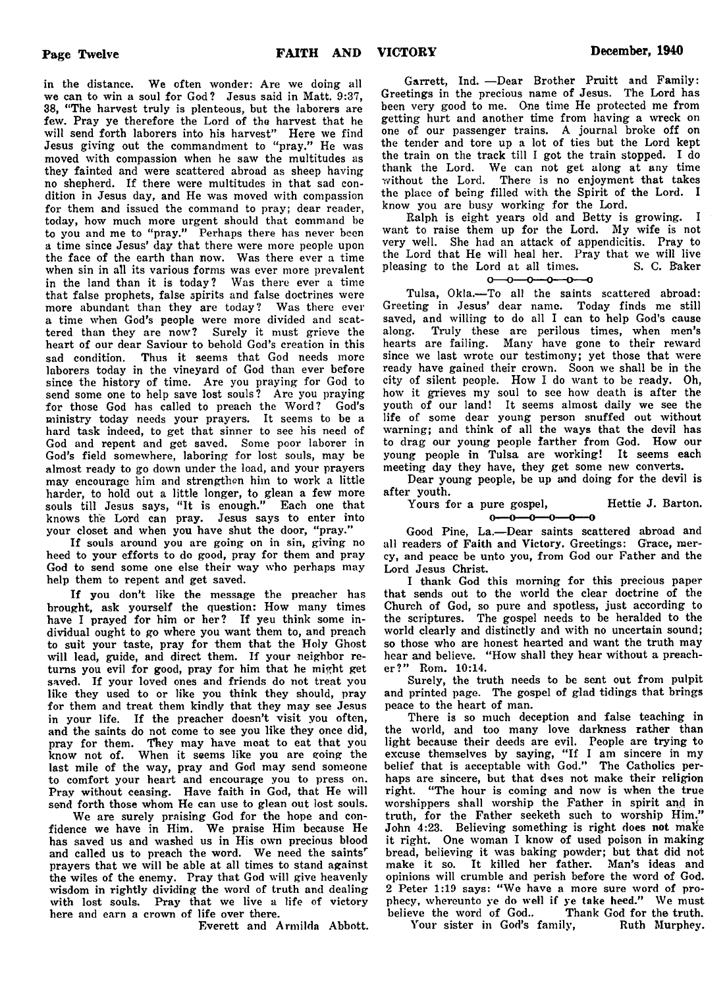in the distance. We often wonder: Are we doing all we can to win a soul for God? Jesus said in Matt. 9:37, 38, " The harvest truly is plenteous, but the laborers are few. Pray ye therefore the Lord of the harvest that he will send forth laborers into his harvest" Here we find Jesus giving out the commandment to "pray." He was moved with compassion when he saw the multitudes as they fainted and were scattered abroad as sheep having no shepherd. If there were multitudes in that sad condition in Jesus day, and He was moved with compassion for them and issued the command to pray; dear reader, today, how much more urgent should that command be to you and me to "pray." Perhaps there has never been a time since Jesus' day that there were more people upon the face of the earth than now. Was there ever a time when sin in all its various forms was ever more prevalent in the land than it is today? Was there ever a time that false prophets, false spirits and false doctrines were more abundant than they are today? Was there ever a time when God's people were more divided and scattered than they are now? Surely it must grieve the heart of our dear Saviour to behold God's creation in this sad condition. Thus it seems that God needs more laborers today in the vineyard of God than ever before since the history of time. Are you praying for God to send some one to help save lost souls? Are you praying for those God has called to preach the Word? God's ministry today needs your prayers. It seems to be a hard task indeed, to get that sinner to see his need of God and repent and get saved. Some poor laborer in God's field somewhere, laboring for lost souls, may be almost ready to go down under the load, and your prayers may encourage him and strengthen him to work a little harder, to hold out a little longer, to glean a few more souls till Jesus says, "It is enough." Each one that knows the Lord can pray. Jesus says to enter into your closet and when you have shut the door, "pray."

If souls around you are going on in sin, giving no heed to your efforts to do good, pray for them and pray God to send some one else their way who perhaps may help them to repent and get saved.

If you don't like the message the preacher has brought, ask yourself the question: How many times have I prayed for him or her? If yeu think some individual ought to go where you want them to, and preach to suit your taste, pray for them that the Holy Ghost will lead, guide, and direct them. If your neighbor returns you evil for good, pray for him that he might get saved. If your loved ones and friends do not treat you like they used to or like you think they should, pray for them and treat them kindly that they may see Jesus in your life. If the preacher doesn't visit you often, and the saints do not come to see you like they once did, pray for them. They may have moat to eat that you know not of. When it seems like you are going the last mile of the way, pray and God may send someone to comfort your heart and encourage you to press on. Pray without ceasing. Have faith in God, that He will send forth those whom He can use to glean out lost souls.

We are surely praising God for the hope and confidence we have in Him. We praise Him because He has saved us and washed us in His own precious blood and called us to preach the word. We need the saints' prayers that we will be able at all times to stand against the wiles of the enemy. Pray that God will give heavenly wisdom in rightly dividing the word of truth and dealing with lost souls. Pray that we live a life of victory here and earn a crown of life over there.

Everett and Armilda Abbott.

Garrett, Ind. — Dear Brother Pruitt and Family: Greetings in the precious name of Jesus. The Lord has been very good to me. One time He protected me from getting hurt and another time from having a wreck on one of our passenger trains. A journal broke off on the tender and tore up a lot of ties but the Lord kept the train on the track till I got the train stopped. I do thank the Lord. We can not get along at any time without the Lord. There is no enjoyment that takes the place of being filled with the Spirit of the Lord. I know you are busy working for the Lord.

Ralph is eight years old and Betty is growing. I want to raise them up for the Lord. My wife is not very well. She had an attack of appendicitis. Pray to the Lord that He will heal her. Pray that we will live pleasing to the Lord at all times. S. C. Baker pleasing to the Lord at all times.

$$
0 - 0 - 0 - 0 - 0 - 0
$$

Tulsa, Okla.— To all the saints scattered abroad: Greeting in Jesus' dear name. Today finds me still saved, and willing to do all I can to help God's cause along. Truly these are perilous times, when men's hearts are failing. Many have gone to their reward since we last wrote our testimony; yet those that were ready have gained their crown. Soon we shall be in the city of silent people. How I do want to be ready. Oh, how it grieves my soul to see how death is after the youth of our land! It seems almost daily we see the life of some dear young person snuffed out without warning; and think of all the ways that the devil has to drag our young people farther from God. How our young people in Tulsa are working! It seems each meeting day they have, they get some new converts.

Dear young people, be up and doing for the devil is after youth.

Yours for a pure gospel, Hettie J. Barton.  $-0$ -0-0  $-0$  - 0- $0-$ 

Good Pine, La.— Dear saints scattered abroad and all readers of Faith and Victory. Greetings: Grace, mercy, and peace be unto you, from God our Father and the Lord Jesus Christ.

I thank God this morning for this precious paper that sends out to the world the clear doctrine of the Church of God, so pure and spotless, just according to the scriptures. The gospel needs to be heralded to the world clearly and distinctly and with no uncertain sound; so those who are honest hearted and want the truth may hear and believe. "How shall they hear without a preacher?" Rom. 10:14.

Surely, the truth needs to be sent out from pulpit and printed page. The gospel of glad tidings that brings peace to the heart of man.

There is so much deception and false teaching in the world, and too many love darkness rather than light because their deeds are evil. People are trying to excuse themselves by saying, " If I am sincere in my belief that is acceptable with God." The Catholics perhaps are sincere, but that d«es not make their religion right. " The hour is coming and now is when the true worshippers shall worship the Father in spirit and in truth, for the Father seeketh such to worship Him." John 4:23. Believing something is right does not make it right. One woman I know of used poison in making bread, believing it was baking powder; but that did not make it so. It killed her father. Man's ideas and opinions will crumble and perish before the word of God. 2 Peter 1:19 says: " We have a more sure word of prophecy, whereunto ye do well if ye take heed." We must believe the word of God.. Thank God for the truth.

Your sister in God's family, Ruth Murphey.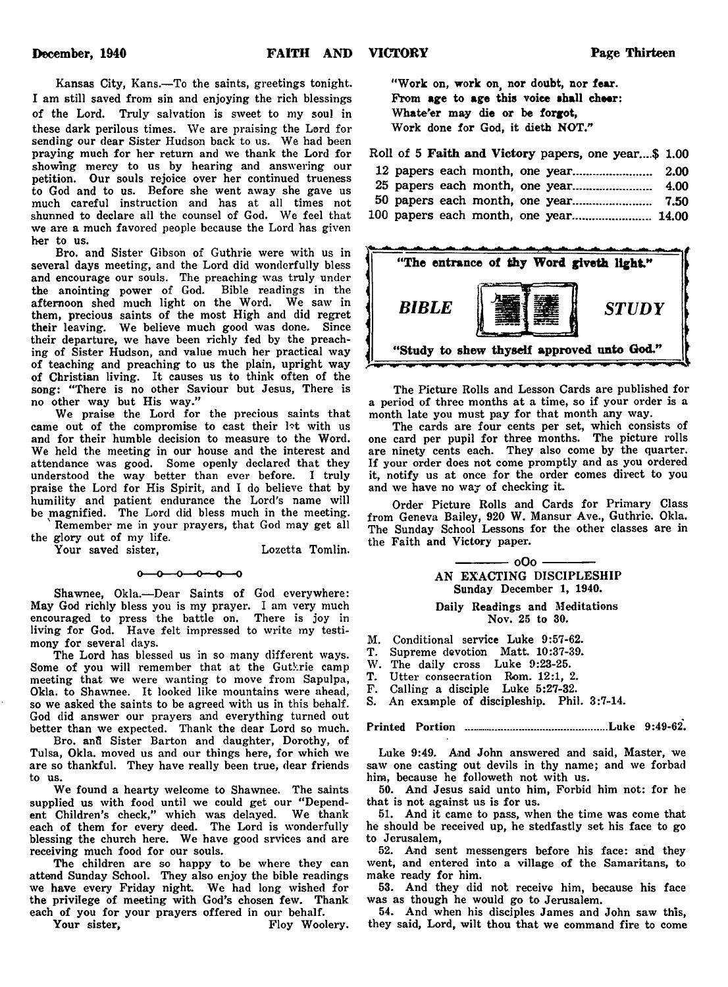Kansas City, Kans.— To the saints, greetings tonight. I am still saved from sin and enjoying the rich blessings of the Lord. Truly salvation is sweet to my soul in these dark perilous times. We are praising the Lord for sending our dear Sister Hudson back to us. We had been praying much for her return and we thank the Lord for showing mercy to us by hearing and answering our petition. Our souls rejoice over her continued trueness to God and to us. Before she went away she gave us much careful instruction and has at all times not shunned to declare all the counsel of God. We feel that we are a much favored people because the Lord has given her to us.

Bro. and Sister Gibson of Guthrie were with us in several days meeting, and the Lord did wonderfully bless and encourage our souls. The preaching was truly under the anointing power of God. Bible readings in the afternoon shed much light on the Word. We saw in them, precious saints of the most High and did regret their leaving. We believe much good was done. Since their departure, we have been richly fed by the preaching of Sister Hudson, and value much her practical way of teaching and preaching to us the plain, upright way of Christian living. It causes us to think often of the song: "There is no other Saviour but Jesus, There is no other way but His way."

We praise the Lord for the precious saints that came out of the compromise to cast their let with us and for their humble decision to measure to the Word. We held the meeting in our house and the interest and attendance was good. Some openly declared that they understood the way better than ever before. I truly praise the Lord for His Spirit, and I do believe that by humility and patient endurance the Lord's name will be magnified. The Lord did bless much in the meeting.

Remember me in your prayers, that God may get all the glory out of my life.

Your saved sister, Lozetta Tomlin.

#### $0 - 0 - 0 - 0 - 0$

Shawnee, Okla.— Dear Saints of God everywhere: May God richly bless you is my prayer. I am very much encouraged to press the battle on. There is joy in living for God. Have felt impressed to write my testimony for several days.

The Lord has blessed us in so many different ways. Some of you will remember that at the Gutkrie camp meeting that we were wanting to move from Sapulpa, Okla. to Shawnee. It looked like mountains were ahead, so we asked the saints to be agreed with us in this behalf. God did answer our prayers and everything turned out better than we expected. Thank the dear Lord so much.

Bro. and Sister Barton and daughter, Dorothy, of Tulsa, Okla. moved us and our things here, for which we are so thankful. They have really been true, dear friends to us.

We found a hearty welcome to Shawnee. The saints supplied us with food until we could get our "Dependent Children's check," which was delayed. We thank each of them for every deed. The Lord is wonderfully blessing the church here. We have good srvices and are receiving much food for our souls.

The children are so happy to be where they can attend Sunday School. They also enjoy the bible readings we have every Friday night. We had long wished for the privilege of meeting with God's chosen few. Thank each of you for your prayers offered in our behalf.

Your sister, The Floy Woolery.

" Work on, work on, nor doubt, nor fear. From age to age this voice **shall** cheer: Whate'er may die or be forgot, Work done for God, it dieth NOT."

Roll of 5 Faith and Victory papers, one year...\$ 1.00

|  |  | 100 papers each month, one year 14.00 |  |
|--|--|---------------------------------------|--|



The Picture Rolls and Lesson Cards are published for a period of three months at a time, so if your order is a month late you must pay for that month any way.

The cards are four cents per set, which consists of one card per pupil for three months. The picture rolls are ninety cents each. They also come by the quarter. If your order does not come promptly and as you ordered it, notify us at once for the order comes direct to you and we have no way of checking it.

Order Picture Rolls and Cards for Primary Class from Geneva Bailey, 920 W. Mansur Ave., Guthrie. Okla. The Sunday School Lessons for the other classes are in the Faith and Victory paper.

> - 000 -AN EXACTING DISCIPLESHIP Sunday December 1, 1940.

> Daily Readings and Meditations Nov. 25 to 30.

- M. Conditional service Luke 9:57-62.
- T. Supreme devotion Matt. 10:37-39.
- W. The daily cross Luke 9:23-25.<br>T. Utter consecration Rom. 12:1. 2
- Utter consecration Rom. 12:1, 2.
- F. Calling a disciple Luke 5:27-32.

S. An example of discipleship. Phil. 3:7-14.

Printed Portion ................................................Luke 9:49-62.

Luke 9:49. And John answered and said, Master, we saw one casting out devils in thy name; and we forbad him, because he followeth not with us.

50. And Jesus said unto him, Forbid him not: for he that is not against us is for us.

51. And it came to pass, when the time was come that he should be received up, he stedfastly set his face to go to Jerusalem,

52. And sent messengers before his face: and they went, and entered into a village of the Samaritans, to make ready for him.

53. And they did not receive him, because his face was as though he would go to Jerusalem.

54. And when his disciples James and John saw this, they said, Lord, wilt thou that we command fire to come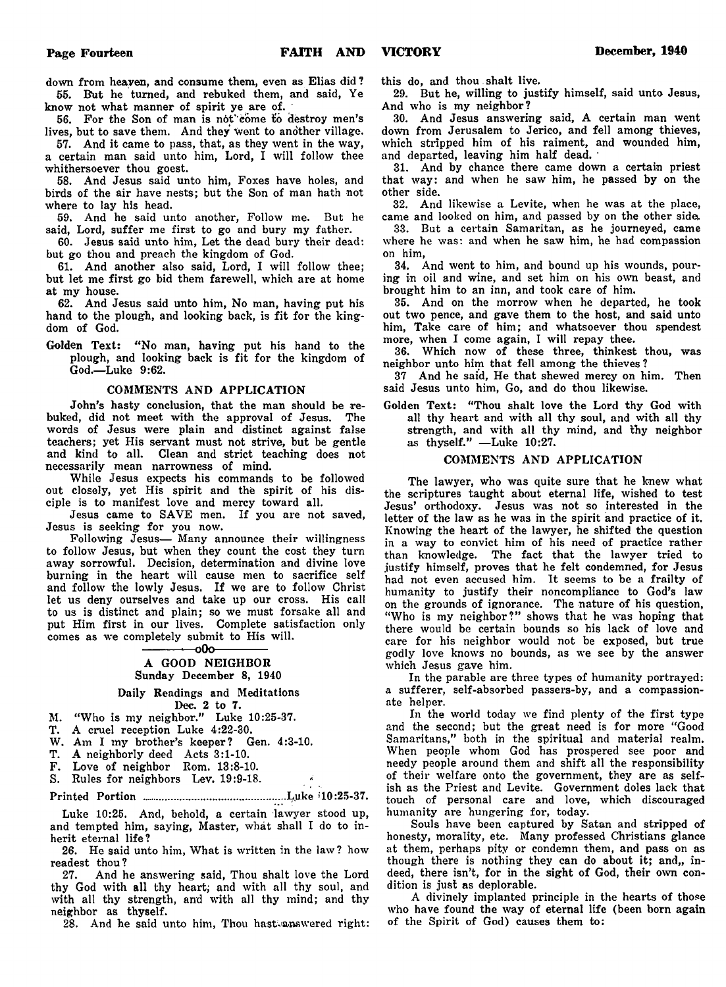down from heaven, and consume them, even as Elias did ? 55. But he turned, and rebuked them, and said, Ye know not what manner of spirit ye are of.

56. For the Son of man is not''come to destroy men's lives, but to save them. And they Went to another village.

57. And it came to pass, that, as they went in the way, a certain man said unto him, Lord, I will follow thee whithersoever thou goest.

58. And Jesus said unto him, Foxes have holes, and birds of the air have nests; but the Son of man hath not where to lay his head.

59. And he said unto another, Follow me. But he said, Lord, suffer me first to go and bury my father.

60. Jesus said unto him, Let the dead bury their dead: but go thou and preach the kingdom of God.

61. And another also said, Lord, I will follow thee; but let me first go bid them farewell, which are at home at my house.

62. And Jesus said unto him, No man, having put his hand to the plough, and looking back, is fit for the kingdom of God.

Golden Text: "No man, having put his hand to the plough, and looking back is fit for the kingdom of God.— Luke 9:62.

### COMMENTS AND APPLICATION

John's hasty conclusion, that the man should be rebuked, did not meet with the approval of Jesus. The words of Jesus were plain and distinct against false teachers; yet His servant must not strive, but be gentle and kind to all. Clean and strict teaching does not necessarily mean narrowness of mind.

While Jesus expects his commands to be followed out closely, yet His spirit and the spirit of his disciple is to manifest love and mercy toward all.

Jesus came to SAVE men. If you are not saved, Jesus is seeking for you now.

Following Jesus— Many announce their willingness to follow Jesus, but when they count the cost they turn away sorrowful. Decision, determination and divine love burning in the heart will cause men to sacrifice self and follow the lowly Jesus. If we are to follow Christ let us deny ourselves and take up our cross. His call to us is distinct and plain; so we must forsake all and put Him first in our lives. Complete satisfaction only comes as we completely submit to His will.

#### --000-

#### A GOOD NEIGHBOR Sunday December 8, 1940

Daily Readings and Meditations

Dec. 2 to 7.

M. " Who is my neighbor." Luke 10:25-37. T. A cruel reception Luke 4:22-30.

W. Am I my brother's keeper? Gen. 4:3-10.

T. A neighborly deed Acts 3:1-10.

F. Love of neighbor Rom. 13:8-10.

S. Rules for neighbors Lev. 19:9-18.

Printed Portion ................................................L.uke >10:25-37.

Luke 10:25. And, behold, a certain lawyer stood up, and tempted him, saying, Master, what shall I do to inherit eternal life?

26. He said unto him, What is written in the law ? how readest thou?

27. And he answering said, Thou shalt love the Lord thy God with all thy heart; and with all thy soul, and with all thy strength, and with all thy mind; and thy neighbor as thyself.

28. And he said unto him, Thou hast answered right:

this do, and thou shalt live.

29. But he, willing to justify himself, said unto Jesus, And who is my neighbor?

30. And Jesus answering said, A certain man went down from Jerusalem to Jerico, and fell among thieves, which stripped him of his raiment, and wounded him, and departed, leaving him half dead. '

31. And by chance there came down a certain priest that way: and when he saw him, he passed by on the other side.

32. And likewise a Levite, when he was at the place, came and looked on him, and passed by on the other side.

33. But a certain Samaritan, as he journeyed, came where he was: and when he saw him, he had compassion on him,

34. And went to him, and bound up his wounds, pouring in oil and wine, and set him on his own beast, and brought him to an inn, and took care of him.

35. And on the morrow when he departed, he took out two pence, and gave them to the host, and said unto him, Take care of him; and whatsoever thou spendest more, when I come again, I will repay thee.

36. Which now of these three, thinkest thou, was neighbor unto him that fell among the thieves ?

37 And he said, He that shewed mercy on him. Then said Jesus unto him, Go, and do thou likewise.

Golden Text: "Thou shalt love the Lord thy God with all thy heart and with all thy soul, and with all thy strength, and with all thy mind, and thy neighbor as thyself." — Luke 10:27.

## COMMENTS AND APPLICATION

The lawyer, who was quite sure that he knew what the scriptures taught about eternal life, wished to test Jesus' orthodoxy. Jesus was not so interested in the letter of the law as he was in the spirit and practice of it. Knowing the heart of the lawyer, he shifted the question in a way to convict him of his need of practice rather than knowledge. The fact that the lawyer tried to justify himself, proves that he felt condemned, for Jesus had not even accused him. It seems to be a frailty of humanity to justify their noncompliance to God's law on the grounds of ignorance. The nature of his question, "Who is my neighbor?" shows that he was hoping that there would be certain bounds so his lack of love and care for his neighbor would not be exposed, but true godly love knows no bounds, as we see by the answer which Jesus gave him.

In the parable are three types of humanity portrayed: a sufferer, self-absorbed passers-by, and a compassionate helper.

In the world today we find plenty of the first type and the second; but the great need is for more "Good Samaritans," both in the spiritual and material realm. When people whom God has prospered see poor and needy people around them and shift all the responsibility of their welfare onto the government, they are as selfish as the Priest and Levite. Government doles lack that touch of personal care and love, which discouraged humanity are hungering *ior,* today.

Souls have been captured by Satan and stripped of honesty, morality, etc. Many professed Christians glance at them, perhaps pity or condemn them, and pass on as though there is nothing they can do about it; and,, indeed, there isn't, for in the sight of God, their own condition is just as deplorable.

A divinely implanted principle in the hearts of those who have found the way of eternal life (been born again of the Spirit of God) causes them to: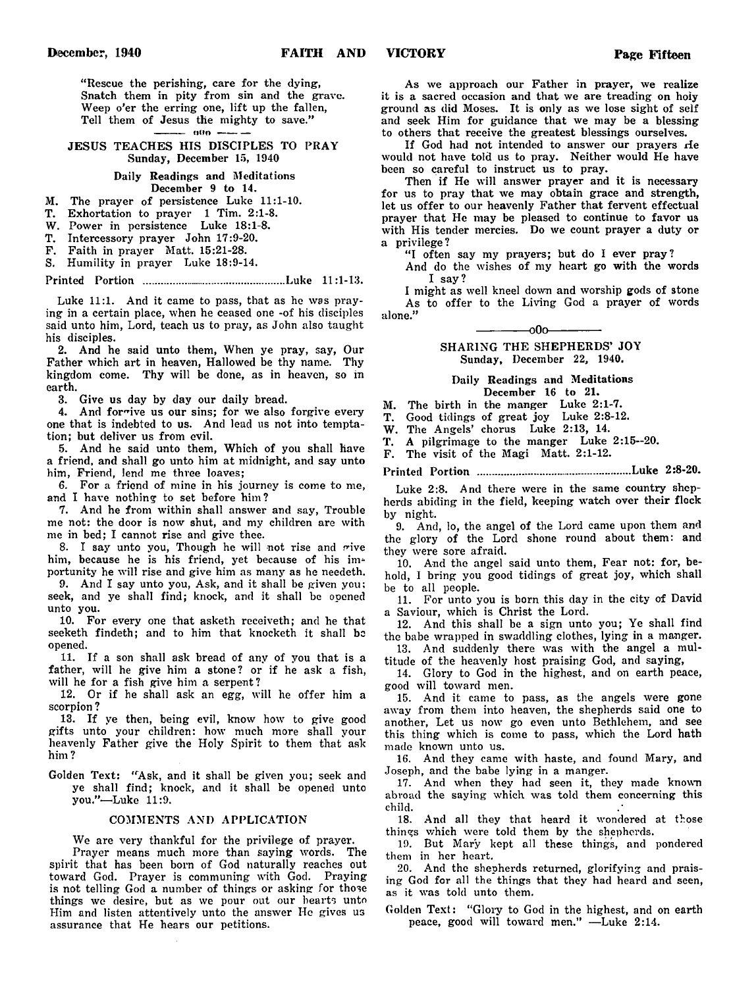" Rescue the perishing, care for the dying, Snatch them in pity from sin and the grave. Weep o'er the erring one, lift up the fallen, Tell them of Jesus the mighty to save."  $-$  000  $-$ 

### JESUS TEACHES HIS DISCIPLES TO PRAY Sunday, December 15, 1940

## Daily Readings and Meditations December 9 to 14.

M. The prayer of persistence Luke 11:1-10.

T. Exhortation to prayer 1 Tim. 2:1-8.

W. Power in persistence Luke 18:1-8.

T. Intercessory prayer John 17:9-20.

F. Faith in prayer Matt. 15:21-28.

S. Humility in prayer Luke 18:9-14.

Printed Portion ................................................Luke 11:1-13.

Luke 11:1. And it came to pass, that as he was praying in a certain place, when he ceased one -of his disciples said unto him, Lord, teach us to pray, as John also taught his disciples.

2. And he said unto them, When ye pray, say, Our Father which art in heaven, Hallowed be thy name. Thy kingdom come. Thy will be done, as in heaven, so in earth.

3. Give us day by day our daily bread.

4. And forgive us our sins; for we also forgive every one that is indebted to us. And lead us not into temptation; but deliver us from evil.

5. And he said unto them, Which of you shall have a friend, and shall go unto him at midnight, and say unto him, Friend, lend me three loaves;

6. For a friend of mine in his journey is come to me, and I have nothing to set before him?

7. And he from within shall answer and say, Trouble me not: the door is now shut, and my children are with me in bed; I cannot rise and give thee.

8. I say unto you, Though he will not rise and rive him, because he is his friend, yet because of his importunity he will rise and give him as many as he needeth.

9. And I say unto you, Ask, and it shall be given you: seek, and ye shall find; knock, and it shall be opened unto you.

10. For every one that asketh receiveth; and he that seeketh findeth; and to him that knocketh it shall be opened.

11. If a son shall ask bread of any of you that is a father, will he give him a stone? or if he ask a fish, will he for a fish give him a serpent?

12. Or if he shall ask an egg, will he offer him a scorpion ?

13. If ye then, being evil, know how to give good gifts unto your children: how much more shall your heavenly Father give the Holy Spirit to them that ask him ?

Golden Text: "Ask, and it shall be given you; seek and ye shall find; knock, and it shall be opened unto you."—Luke 11:9.

#### COMMENTS AND APPLICATION

We are very thankful for the privilege of prayer. Prayer means much more than saying words. The spirit that has been born of God naturally reaches out toward God. Prayer is communing with God. Praying is not telling God a number of things or asking for those things we desire, but as we pour out our hearts unto Him and listen attentively unto the answer He gives us assurance that He hears our petitions.

As we approach our Father in prayer, we realize it is a sacred occasion and that we are treading on holy ground as did Moses. It is only as we lose sight of self and seek Him for guidance that we may be a blessing to others that receive the greatest blessings ourselves.

If God had not intended to answer our prayers He would not have told us to pray. Neither would He have been so careful to instruct us to pray.

Then if He will answer prayer and it is necessary for us to pray that we may obtain grace and strength, let us offer to our heavenly Father that fervent effectual prayer that He may be pleased to continue to favor us with His tender mercies. Do we count prayer a duty or a privilege ?

"I often say my prayers; but do I ever pray?

And do the wishes of my heart go with the words I say?

I might as well kneel down and worship gods of stone As to offer to the Living God a prayer of words alone."

> -000-SHARING THE SHEPHERDS' JOY Sunday, December 22, 1940.

#### Daily Readings and Meditations December 16 to 21.

M. The birth in the manger Luke 2:1-7.

T. Good tidings of great joy Luke 2:8-12.

W. The Angels' chorus Luke 2:13, 14.

T. A pilgrimage to the manger Luke 2:15—20.

F. The visit of the Magi Matt. 2:1-12.

Printed Portion ....................................................Luke 2:8-20.

Luke 2:8. And there were in the same country shepherds abiding in the field, keeping watch over their flock by night.

9. And, lo, the angel of the Lord came upon them and the glory of the Lord shone round about them: and they were sore afraid.

10. And the angel said unto them, Fear not: for, behold, I bring you good tidings of great joy, which shall be to all people.

11. For unto you is born this day in the city of David Saviour, which is Christ the Lord.

12. And this shall be a sign unto you; Ye shall find the babe wrapped in swaddling clothes, lying in a manger.

13. And suddenly there was with the angel a multitude of the heavenly host praising God, and saying,

14. Glory to God in the highest, and on earth peace, good will toward men.

15. And it came to pass, as the angels were gone away from them into heaven, the shepherds said one to another, Let us now go even unto Bethlehem, and see this thing which is come to pass, which the Lord hath made known unto us.

16. And they came with haste, and found Mary, and Joseph, and the babe lying in a manger.

17. And when they had seen it, they made known abroad the saying which was told them concerning this child.

18. And all they that heard it wondered at those things which were told them by the shepherds.

19. But Mary kept all these things, and pondered them in her heart.

20. And the shepherds returned, glorifying and praising God for all the things that they had heard and seen, as it was told unto them.

Golden Text: "Glory to God in the highest, and on earth peace, good will toward men." -Luke 2:14.